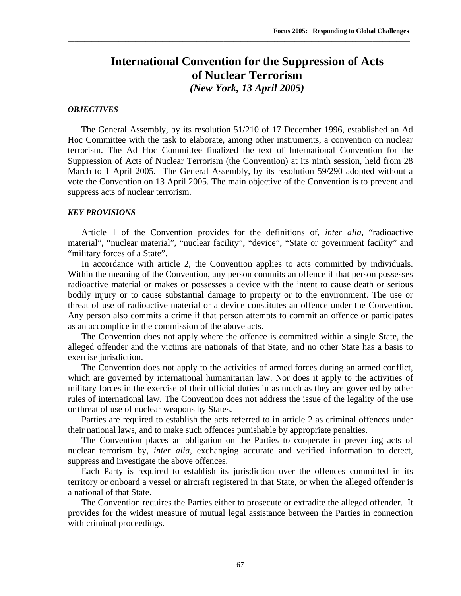# **International Convention for the Suppression of Acts of Nuclear Terrorism**  *(New York, 13 April 2005)*

\_\_\_\_\_\_\_\_\_\_\_\_\_\_\_\_\_\_\_\_\_\_\_\_\_\_\_\_\_\_\_\_\_\_\_\_\_\_\_\_\_\_\_\_\_\_\_\_\_\_\_\_\_\_\_\_\_\_\_\_\_\_\_\_\_\_\_\_\_\_\_\_\_\_\_\_\_\_\_\_\_\_\_\_\_\_\_\_\_\_\_\_\_\_\_\_\_\_\_\_\_

#### *OBJECTIVES*

The General Assembly, by its resolution 51/210 of 17 December 1996, established an Ad Hoc Committee with the task to elaborate, among other instruments, a convention on nuclear terrorism. The Ad Hoc Committee finalized the text of International Convention for the Suppression of Acts of Nuclear Terrorism (the Convention) at its ninth session, held from 28 March to 1 April 2005. The General Assembly, by its resolution 59/290 adopted without a vote the Convention on 13 April 2005. The main objective of the Convention is to prevent and suppress acts of nuclear terrorism.

#### *KEY PROVISIONS*

Article 1 of the Convention provides for the definitions of, *inter alia*, "radioactive material", "nuclear material", "nuclear facility", "device", "State or government facility" and "military forces of a State".

In accordance with article 2, the Convention applies to acts committed by individuals. Within the meaning of the Convention, any person commits an offence if that person possesses radioactive material or makes or possesses a device with the intent to cause death or serious bodily injury or to cause substantial damage to property or to the environment. The use or threat of use of radioactive material or a device constitutes an offence under the Convention. Any person also commits a crime if that person attempts to commit an offence or participates as an accomplice in the commission of the above acts.

The Convention does not apply where the offence is committed within a single State, the alleged offender and the victims are nationals of that State, and no other State has a basis to exercise jurisdiction.

The Convention does not apply to the activities of armed forces during an armed conflict, which are governed by international humanitarian law. Nor does it apply to the activities of military forces in the exercise of their official duties in as much as they are governed by other rules of international law. The Convention does not address the issue of the legality of the use or threat of use of nuclear weapons by States.

Parties are required to establish the acts referred to in article 2 as criminal offences under their national laws, and to make such offences punishable by appropriate penalties.

The Convention places an obligation on the Parties to cooperate in preventing acts of nuclear terrorism by, *inter alia*, exchanging accurate and verified information to detect, suppress and investigate the above offences.

Each Party is required to establish its jurisdiction over the offences committed in its territory or onboard a vessel or aircraft registered in that State, or when the alleged offender is a national of that State.

The Convention requires the Parties either to prosecute or extradite the alleged offender. It provides for the widest measure of mutual legal assistance between the Parties in connection with criminal proceedings.